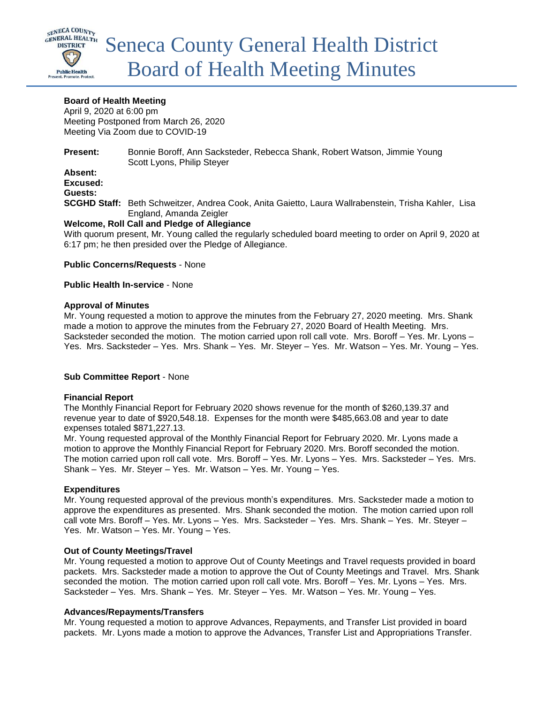

## **Board of Health Meeting**

April 9, 2020 at 6:00 pm Meeting Postponed from March 26, 2020 Meeting Via Zoom due to COVID-19

**Present:** Bonnie Boroff, Ann Sacksteder, Rebecca Shank, Robert Watson, Jimmie Young Scott Lyons, Philip Steyer **Absent:**

## **Excused: Guests:**

**SCGHD Staff:** Beth Schweitzer, Andrea Cook, Anita Gaietto, Laura Wallrabenstein, Trisha Kahler, Lisa England, Amanda Zeigler

### **Welcome, Roll Call and Pledge of Allegiance**

With quorum present, Mr. Young called the regularly scheduled board meeting to order on April 9, 2020 at 6:17 pm; he then presided over the Pledge of Allegiance.

#### **Public Concerns/Requests** - None

### **Public Health In-service** - None

### **Approval of Minutes**

Mr. Young requested a motion to approve the minutes from the February 27, 2020 meeting. Mrs. Shank made a motion to approve the minutes from the February 27, 2020 Board of Health Meeting. Mrs. Sacksteder seconded the motion. The motion carried upon roll call vote. Mrs. Boroff – Yes. Mr. Lyons – Yes. Mrs. Sacksteder – Yes. Mrs. Shank – Yes. Mr. Steyer – Yes. Mr. Watson – Yes. Mr. Young – Yes.

## **Sub Committee Report** - None

#### **Financial Report**

The Monthly Financial Report for February 2020 shows revenue for the month of \$260,139.37 and revenue year to date of \$920,548.18. Expenses for the month were \$485,663.08 and year to date expenses totaled \$871,227.13.

Mr. Young requested approval of the Monthly Financial Report for February 2020. Mr. Lyons made a motion to approve the Monthly Financial Report for February 2020. Mrs. Boroff seconded the motion. The motion carried upon roll call vote. Mrs. Boroff – Yes. Mr. Lyons – Yes. Mrs. Sacksteder – Yes. Mrs. Shank – Yes. Mr. Steyer – Yes. Mr. Watson – Yes. Mr. Young – Yes.

## **Expenditures**

Mr. Young requested approval of the previous month's expenditures. Mrs. Sacksteder made a motion to approve the expenditures as presented. Mrs. Shank seconded the motion. The motion carried upon roll call vote Mrs. Boroff – Yes. Mr. Lyons – Yes. Mrs. Sacksteder – Yes. Mrs. Shank – Yes. Mr. Steyer – Yes. Mr. Watson – Yes. Mr. Young – Yes.

#### **Out of County Meetings/Travel**

Mr. Young requested a motion to approve Out of County Meetings and Travel requests provided in board packets. Mrs. Sacksteder made a motion to approve the Out of County Meetings and Travel. Mrs. Shank seconded the motion. The motion carried upon roll call vote. Mrs. Boroff – Yes. Mr. Lyons – Yes. Mrs. Sacksteder – Yes. Mrs. Shank – Yes. Mr. Steyer – Yes. Mr. Watson – Yes. Mr. Young – Yes.

#### **Advances/Repayments/Transfers**

Mr. Young requested a motion to approve Advances, Repayments, and Transfer List provided in board packets. Mr. Lyons made a motion to approve the Advances, Transfer List and Appropriations Transfer.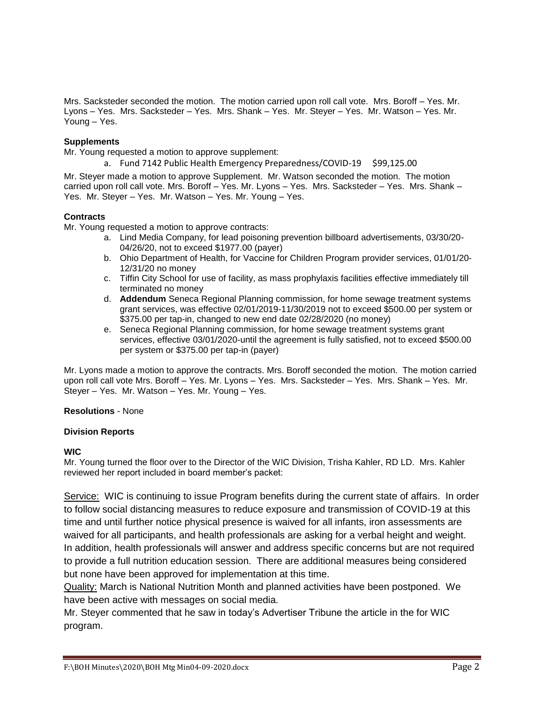Mrs. Sacksteder seconded the motion. The motion carried upon roll call vote. Mrs. Boroff – Yes. Mr. Lyons – Yes. Mrs. Sacksteder – Yes. Mrs. Shank – Yes. Mr. Steyer – Yes. Mr. Watson – Yes. Mr. Young – Yes.

### **Supplements**

Mr. Young requested a motion to approve supplement:

a. Fund 7142 Public Health Emergency Preparedness/COVID-19 \$99,125.00

Mr. Steyer made a motion to approve Supplement. Mr. Watson seconded the motion. The motion carried upon roll call vote. Mrs. Boroff – Yes. Mr. Lyons – Yes. Mrs. Sacksteder – Yes. Mrs. Shank – Yes. Mr. Steyer – Yes. Mr. Watson – Yes. Mr. Young – Yes.

### **Contracts**

Mr. Young requested a motion to approve contracts:

- a. Lind Media Company, for lead poisoning prevention billboard advertisements, 03/30/20- 04/26/20, not to exceed \$1977.00 (payer)
- b. Ohio Department of Health, for Vaccine for Children Program provider services, 01/01/20- 12/31/20 no money
- c. Tiffin City School for use of facility, as mass prophylaxis facilities effective immediately till terminated no money
- d. **Addendum** Seneca Regional Planning commission, for home sewage treatment systems grant services, was effective 02/01/2019-11/30/2019 not to exceed \$500.00 per system or \$375.00 per tap-in, changed to new end date 02/28/2020 (no money)
- e. Seneca Regional Planning commission, for home sewage treatment systems grant services, effective 03/01/2020-until the agreement is fully satisfied, not to exceed \$500.00 per system or \$375.00 per tap-in (payer)

Mr. Lyons made a motion to approve the contracts. Mrs. Boroff seconded the motion. The motion carried upon roll call vote Mrs. Boroff – Yes. Mr. Lyons – Yes. Mrs. Sacksteder – Yes. Mrs. Shank – Yes. Mr. Steyer – Yes. Mr. Watson – Yes. Mr. Young – Yes.

#### **Resolutions** - None

#### **Division Reports**

#### **WIC**

Mr. Young turned the floor over to the Director of the WIC Division, Trisha Kahler, RD LD. Mrs. Kahler reviewed her report included in board member's packet:

Service: WIC is continuing to issue Program benefits during the current state of affairs. In order to follow social distancing measures to reduce exposure and transmission of COVID-19 at this time and until further notice physical presence is waived for all infants, iron assessments are waived for all participants, and health professionals are asking for a verbal height and weight. In addition, health professionals will answer and address specific concerns but are not required to provide a full nutrition education session. There are additional measures being considered but none have been approved for implementation at this time.

Quality: March is National Nutrition Month and planned activities have been postponed. We have been active with messages on social media.

Mr. Steyer commented that he saw in today's Advertiser Tribune the article in the for WIC program.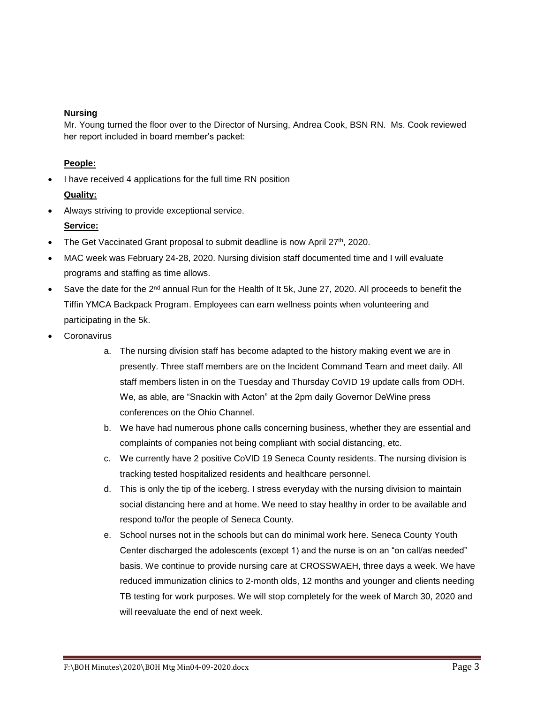## **Nursing**

Mr. Young turned the floor over to the Director of Nursing, Andrea Cook, BSN RN. Ms. Cook reviewed her report included in board member's packet:

## **People:**

I have received 4 applications for the full time RN position

# **Quality:**

Always striving to provide exceptional service.

# **Service:**

- The Get Vaccinated Grant proposal to submit deadline is now April 27th, 2020.
- MAC week was February 24-28, 2020. Nursing division staff documented time and I will evaluate programs and staffing as time allows.
- Save the date for the 2<sup>nd</sup> annual Run for the Health of It 5k, June 27, 2020. All proceeds to benefit the Tiffin YMCA Backpack Program. Employees can earn wellness points when volunteering and participating in the 5k.
- **Coronavirus** 
	- a. The nursing division staff has become adapted to the history making event we are in presently. Three staff members are on the Incident Command Team and meet daily. All staff members listen in on the Tuesday and Thursday CoVID 19 update calls from ODH. We, as able, are "Snackin with Acton" at the 2pm daily Governor DeWine press conferences on the Ohio Channel.
	- b. We have had numerous phone calls concerning business, whether they are essential and complaints of companies not being compliant with social distancing, etc.
	- c. We currently have 2 positive CoVID 19 Seneca County residents. The nursing division is tracking tested hospitalized residents and healthcare personnel.
	- d. This is only the tip of the iceberg. I stress everyday with the nursing division to maintain social distancing here and at home. We need to stay healthy in order to be available and respond to/for the people of Seneca County.
	- e. School nurses not in the schools but can do minimal work here. Seneca County Youth Center discharged the adolescents (except 1) and the nurse is on an "on call/as needed" basis. We continue to provide nursing care at CROSSWAEH, three days a week. We have reduced immunization clinics to 2-month olds, 12 months and younger and clients needing TB testing for work purposes. We will stop completely for the week of March 30, 2020 and will reevaluate the end of next week.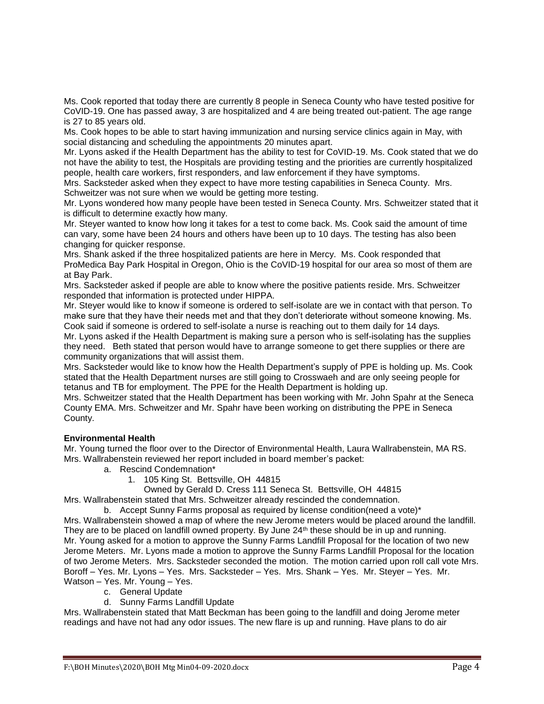Ms. Cook reported that today there are currently 8 people in Seneca County who have tested positive for CoVID-19. One has passed away, 3 are hospitalized and 4 are being treated out-patient. The age range is 27 to 85 years old.

Ms. Cook hopes to be able to start having immunization and nursing service clinics again in May, with social distancing and scheduling the appointments 20 minutes apart.

Mr. Lyons asked if the Health Department has the ability to test for CoVID-19. Ms. Cook stated that we do not have the ability to test, the Hospitals are providing testing and the priorities are currently hospitalized people, health care workers, first responders, and law enforcement if they have symptoms.

Mrs. Sacksteder asked when they expect to have more testing capabilities in Seneca County. Mrs. Schweitzer was not sure when we would be getting more testing.

Mr. Lyons wondered how many people have been tested in Seneca County. Mrs. Schweitzer stated that it is difficult to determine exactly how many.

Mr. Steyer wanted to know how long it takes for a test to come back. Ms. Cook said the amount of time can vary, some have been 24 hours and others have been up to 10 days. The testing has also been changing for quicker response.

Mrs. Shank asked if the three hospitalized patients are here in Mercy. Ms. Cook responded that ProMedica Bay Park Hospital in Oregon, Ohio is the CoVID-19 hospital for our area so most of them are at Bay Park.

Mrs. Sacksteder asked if people are able to know where the positive patients reside. Mrs. Schweitzer responded that information is protected under HIPPA.

Mr. Steyer would like to know if someone is ordered to self-isolate are we in contact with that person. To make sure that they have their needs met and that they don't deteriorate without someone knowing. Ms. Cook said if someone is ordered to self-isolate a nurse is reaching out to them daily for 14 days*.* 

Mr. Lyons asked if the Health Department is making sure a person who is self-isolating has the supplies they need. Beth stated that person would have to arrange someone to get there supplies or there are community organizations that will assist them.

Mrs. Sacksteder would like to know how the Health Department's supply of PPE is holding up. Ms. Cook stated that the Health Department nurses are still going to Crosswaeh and are only seeing people for tetanus and TB for employment. The PPE for the Health Department is holding up.

Mrs. Schweitzer stated that the Health Department has been working with Mr. John Spahr at the Seneca County EMA. Mrs. Schweitzer and Mr. Spahr have been working on distributing the PPE in Seneca County.

#### **Environmental Health**

Mr. Young turned the floor over to the Director of Environmental Health, Laura Wallrabenstein, MA RS. Mrs. Wallrabenstein reviewed her report included in board member's packet:

- a. Rescind Condemnation\*
	- 1. 105 King St. Bettsville, OH 44815

Owned by Gerald D. Cress 111 Seneca St. Bettsville, OH 44815

Mrs. Wallrabenstein stated that Mrs. Schweitzer already rescinded the condemnation.

b. Accept Sunny Farms proposal as required by license condition(need a vote)\*

Mrs. Wallrabenstein showed a map of where the new Jerome meters would be placed around the landfill. They are to be placed on landfill owned property. By June 24<sup>th</sup> these should be in up and running. Mr. Young asked for a motion to approve the Sunny Farms Landfill Proposal for the location of two new Jerome Meters. Mr. Lyons made a motion to approve the Sunny Farms Landfill Proposal for the location of two Jerome Meters. Mrs. Sacksteder seconded the motion. The motion carried upon roll call vote Mrs. Boroff – Yes. Mr. Lyons – Yes. Mrs. Sacksteder – Yes. Mrs. Shank – Yes. Mr. Steyer – Yes. Mr. Watson – Yes. Mr. Young – Yes.

- c. General Update
- d. Sunny Farms Landfill Update

Mrs. Wallrabenstein stated that Matt Beckman has been going to the landfill and doing Jerome meter readings and have not had any odor issues. The new flare is up and running. Have plans to do air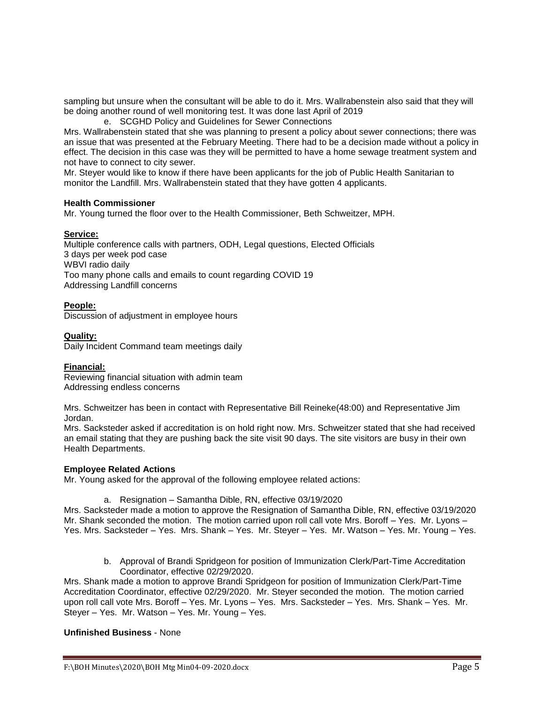sampling but unsure when the consultant will be able to do it. Mrs. Wallrabenstein also said that they will be doing another round of well monitoring test. It was done last April of 2019

e. SCGHD Policy and Guidelines for Sewer Connections

Mrs. Wallrabenstein stated that she was planning to present a policy about sewer connections; there was an issue that was presented at the February Meeting. There had to be a decision made without a policy in effect. The decision in this case was they will be permitted to have a home sewage treatment system and not have to connect to city sewer.

Mr. Steyer would like to know if there have been applicants for the job of Public Health Sanitarian to monitor the Landfill. Mrs. Wallrabenstein stated that they have gotten 4 applicants.

### **Health Commissioner**

Mr. Young turned the floor over to the Health Commissioner, Beth Schweitzer, MPH.

### **Service:**

Multiple conference calls with partners, ODH, Legal questions, Elected Officials 3 days per week pod case WBVI radio daily Too many phone calls and emails to count regarding COVID 19 Addressing Landfill concerns

## **People:**

Discussion of adjustment in employee hours

### **Quality:**

Daily Incident Command team meetings daily

## **Financial:**

Reviewing financial situation with admin team Addressing endless concerns

Mrs. Schweitzer has been in contact with Representative Bill Reineke(48:00) and Representative Jim Jordan.

Mrs. Sacksteder asked if accreditation is on hold right now. Mrs. Schweitzer stated that she had received an email stating that they are pushing back the site visit 90 days. The site visitors are busy in their own Health Departments.

## **Employee Related Actions**

Mr. Young asked for the approval of the following employee related actions:

a. Resignation – Samantha Dible, RN, effective 03/19/2020

Mrs. Sacksteder made a motion to approve the Resignation of Samantha Dible, RN, effective 03/19/2020 Mr. Shank seconded the motion. The motion carried upon roll call vote Mrs. Boroff – Yes. Mr. Lyons – Yes. Mrs. Sacksteder – Yes. Mrs. Shank – Yes. Mr. Steyer – Yes. Mr. Watson – Yes. Mr. Young – Yes.

b. Approval of Brandi Spridgeon for position of Immunization Clerk/Part-Time Accreditation Coordinator, effective 02/29/2020.

Mrs. Shank made a motion to approve Brandi Spridgeon for position of Immunization Clerk/Part-Time Accreditation Coordinator, effective 02/29/2020. Mr. Steyer seconded the motion. The motion carried upon roll call vote Mrs. Boroff – Yes. Mr. Lyons – Yes. Mrs. Sacksteder – Yes. Mrs. Shank – Yes. Mr. Steyer – Yes. Mr. Watson – Yes. Mr. Young – Yes.

## **Unfinished Business** - None